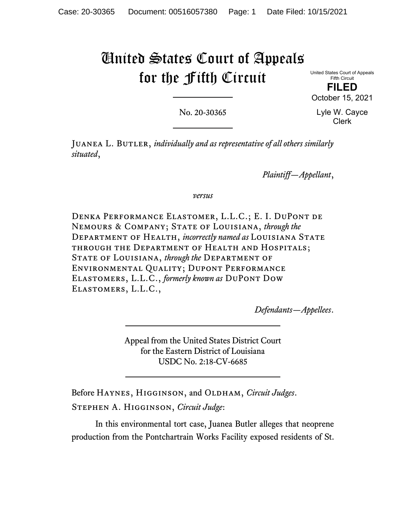# United States Court of Appeals for the Fifth Circuit

United States Court of Appeals Fifth Circuit

**FILED** October 15, 2021

No. 20-30365

Lyle W. Cayce Clerk

JUANEA L. BUTLER, *individually and as representative of all others similarly situated*,

*Plaintiff—Appellant*,

*versus*

Denka Performance Elastomer, L.L.C.; E. I. DuPont de Nemours & Company; State of Louisiana, *through the* Department of Health, *incorrectly named as* Louisiana State through the Department of Health and Hospitals; State of Louisiana, *through the* Department of Environmental Quality; Dupont Performance Elastomers, L.L.C., *formerly known as* DuPont Dow Elastomers, L.L.C.,

*Defendants—Appellees*.

Appeal from the United States District Court for the Eastern District of Louisiana USDC No. 2:18-CV-6685

Before Haynes, Higginson, and Oldham, *Circuit Judges*. Stephen A. Higginson, *Circuit Judge*:

In this environmental tort case, Juanea Butler alleges that neoprene production from the Pontchartrain Works Facility exposed residents of St.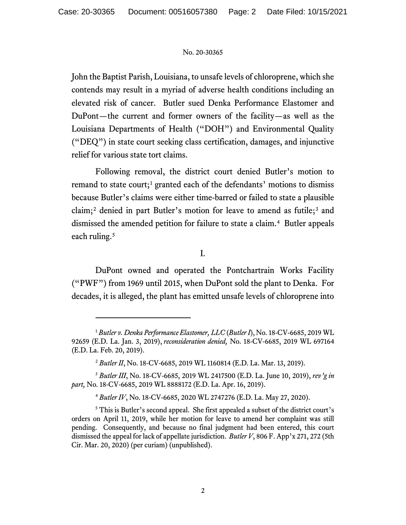John the Baptist Parish, Louisiana, to unsafe levels of chloroprene, which she contends may result in a myriad of adverse health conditions including an elevated risk of cancer. Butler sued Denka Performance Elastomer and DuPont—the current and former owners of the facility—as well as the Louisiana Departments of Health ("DOH") and Environmental Quality ("DEQ") in state court seeking class certification, damages, and injunctive relief for various state tort claims.

Following removal, the district court denied Butler's motion to remand to state court;<sup>[1](#page-1-0)</sup> granted each of the defendants' motions to dismiss because Butler's claims were either time-barred or failed to state a plausible claim;<sup>[2](#page-1-1)</sup> denied in part Butler's motion for leave to amend as futile;<sup>[3](#page-1-2)</sup> and dismissed the amended petition for failure to state a claim.<sup>[4](#page-1-3)</sup> Butler appeals each ruling. [5](#page-1-4)

I.

DuPont owned and operated the Pontchartrain Works Facility ("PWF") from 1969 until 2015, when DuPont sold the plant to Denka. For decades, it is alleged, the plant has emitted unsafe levels of chloroprene into

<span id="page-1-0"></span><sup>1</sup> *Butler v. Denka Performance Elastomer, LLC* (*Butler I*), No. 18-CV-6685, 2019 WL 92659 (E.D. La. Jan. 3, 2019), *reconsideration denied,* No. 18-CV-6685, 2019 WL 697164 (E.D. La. Feb. 20, 2019).

<sup>2</sup> *Butler II*, No. 18-CV-6685, 2019 WL 1160814 (E.D. La. Mar. 13, 2019).

<span id="page-1-2"></span><span id="page-1-1"></span><sup>3</sup> *Butler III*, No. 18-CV-6685, 2019 WL 2417500 (E.D. La. June 10, 2019), *rev'g in part,* No. 18-CV-6685, 2019 WL 8888172 (E.D. La. Apr. 16, 2019).

<sup>4</sup> *Butler IV*, No. 18-CV-6685, 2020 WL 2747276 (E.D. La. May 27, 2020).

<span id="page-1-4"></span><span id="page-1-3"></span><sup>5</sup> This is Butler's second appeal. She first appealed a subset of the district court's orders on April 11, 2019, while her motion for leave to amend her complaint was still pending. Consequently, and because no final judgment had been entered, this court dismissed the appeal for lack of appellate jurisdiction. *Butler V*, 806 F. App'x 271, 272 (5th Cir. Mar. 20, 2020) (per curiam) (unpublished).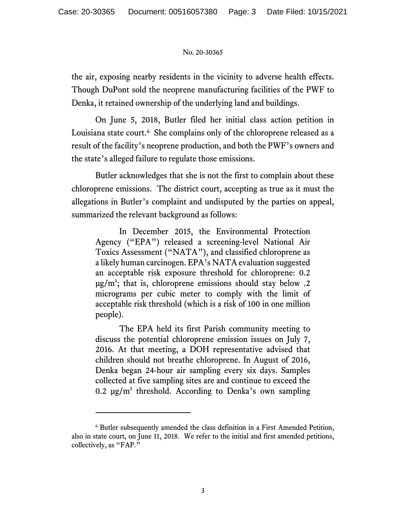the air, exposing nearby residents in the vicinity to adverse health effects. Though DuPont sold the neoprene manufacturing facilities of the PWF to Denka, it retained ownership of the underlying land and buildings.

On June 5, 2018, Butler filed her initial class action petition in Louisiana state court. [6](#page-2-0) She complains only of the chloroprene released as a result of the facility's neoprene production, and both the PWF's owners and the state's alleged failure to regulate those emissions.

Butler acknowledges that she is not the first to complain about these chloroprene emissions. The district court, accepting as true as it must the allegations in Butler's complaint and undisputed by the parties on appeal, summarized the relevant background as follows:

In December 2015, the Environmental Protection Agency ("EPA") released a screening-level National Air Toxics Assessment ("NATA"), and classified chloroprene as a likely human carcinogen. EPA's NATA evaluation suggested an acceptable risk exposure threshold for chloroprene: 0.2  $\mu$ g/m<sup>3</sup>; that is, chloroprene emissions should stay below .2 micrograms per cubic meter to comply with the limit of acceptable risk threshold (which is a risk of 100 in one million people).

The EPA held its first Parish community meeting to discuss the potential chloroprene emission issues on July 7, 2016. At that meeting, a DOH representative advised that children should not breathe chloroprene. In August of 2016, Denka began 24-hour air sampling every six days. Samples collected at five sampling sites are and continue to exceed the 0.2  $\mu$ g/m<sup>3</sup> threshold. According to Denka's own sampling

<span id="page-2-0"></span><sup>6</sup> Butler subsequently amended the class definition in a First Amended Petition, also in state court, on June 11, 2018. We refer to the initial and first amended petitions, collectively, as "FAP."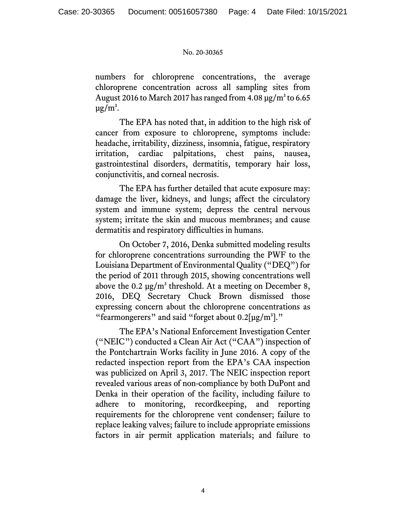numbers for chloroprene concentrations, the average chloroprene concentration across all sampling sites from August 2016 to March 2017 has ranged from  $4.08 \,\mathrm{\mu g/m^3}$  to 6.65  $\mu$ g/m<sup>3</sup>.

The EPA has noted that, in addition to the high risk of cancer from exposure to chloroprene, symptoms include: headache, irritability, dizziness, insomnia, fatigue, respiratory irritation, cardiac palpitations, chest pains, nausea, gastrointestinal disorders, dermatitis, temporary hair loss, conjunctivitis, and corneal necrosis.

The EPA has further detailed that acute exposure may: damage the liver, kidneys, and lungs; affect the circulatory system and immune system; depress the central nervous system; irritate the skin and mucous membranes; and cause dermatitis and respiratory difficulties in humans.

On October 7, 2016, Denka submitted modeling results for chloroprene concentrations surrounding the PWF to the Louisiana Department of Environmental Quality ("DEQ") for the period of 2011 through 2015, showing concentrations well above the 0.2  $\mu$ g/m<sup>3</sup> threshold. At a meeting on December 8, 2016, DEQ Secretary Chuck Brown dismissed those expressing concern about the chloroprene concentrations as "fearmongerers" and said "forget about  $0.2[\mu g/m^3]$ ."

The EPA's National Enforcement Investigation Center ("NEIC") conducted a Clean Air Act ("CAA") inspection of the Pontchartrain Works facility in June 2016. A copy of the redacted inspection report from the EPA's CAA inspection was publicized on April 3, 2017. The NEIC inspection report revealed various areas of non-compliance by both DuPont and Denka in their operation of the facility, including failure to adhere to monitoring, recordkeeping, and reporting requirements for the chloroprene vent condenser; failure to replace leaking valves; failure to include appropriate emissions factors in air permit application materials; and failure to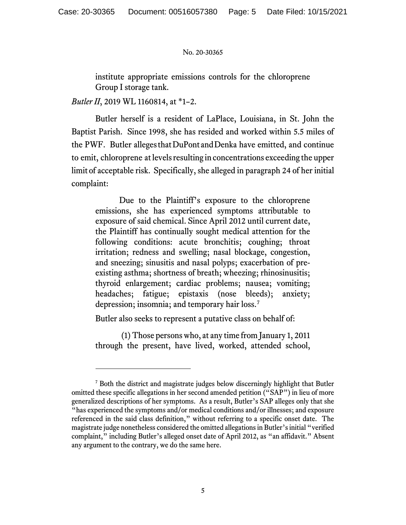institute appropriate emissions controls for the chloroprene Group I storage tank.

*Butler II*, 2019 WL 1160814, at \*1–2.

Butler herself is a resident of LaPlace, Louisiana, in St. John the Baptist Parish. Since 1998, she has resided and worked within 5.5 miles of the PWF. Butler alleges that DuPont and Denka have emitted, and continue to emit, chloroprene atlevelsresulting in concentrations exceeding the upper limit of acceptable risk. Specifically, she alleged in paragraph 24 of her initial complaint:

Due to the Plaintiff's exposure to the chloroprene emissions, she has experienced symptoms attributable to exposure of said chemical. Since April 2012 until current date, the Plaintiff has continually sought medical attention for the following conditions: acute bronchitis; coughing; throat irritation; redness and swelling; nasal blockage, congestion, and sneezing; sinusitis and nasal polyps; exacerbation of preexisting asthma; shortness of breath; wheezing; rhinosinusitis; thyroid enlargement; cardiac problems; nausea; vomiting; headaches; fatigue; epistaxis (nose bleeds); anxiety; depression; insomnia; and temporary hair loss.[7](#page-4-0)

Butler also seeks to represent a putative class on behalf of:

(1) Those persons who, at any time from January 1, 2011 through the present, have lived, worked, attended school,

<span id="page-4-0"></span><sup>7</sup> Both the district and magistrate judges below discerningly highlight that Butler omitted these specific allegations in her second amended petition ("SAP") in lieu of more generalized descriptions of her symptoms. As a result, Butler's SAP alleges only that she "has experienced the symptoms and/or medical conditions and/or illnesses; and exposure referenced in the said class definition," without referring to a specific onset date. The magistrate judge nonetheless considered the omitted allegationsin Butler's initial "verified complaint," including Butler's alleged onset date of April 2012, as "an affidavit." Absent any argument to the contrary, we do the same here.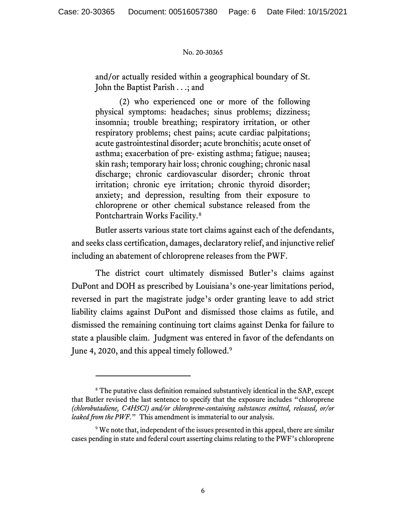and/or actually resided within a geographical boundary of St. John the Baptist Parish . . .; and

(2) who experienced one or more of the following physical symptoms: headaches; sinus problems; dizziness; insomnia; trouble breathing; respiratory irritation, or other respiratory problems; chest pains; acute cardiac palpitations; acute gastrointestinal disorder; acute bronchitis; acute onset of asthma; exacerbation of pre- existing asthma; fatigue; nausea; skin rash; temporary hair loss; chronic coughing; chronic nasal discharge; chronic cardiovascular disorder; chronic throat irritation; chronic eye irritation; chronic thyroid disorder; anxiety; and depression, resulting from their exposure to chloroprene or other chemical substance released from the Pontchartrain Works Facility.<sup>[8](#page-5-0)</sup>

Butler asserts various state tort claims against each of the defendants, and seeks class certification, damages, declaratory relief, and injunctive relief including an abatement of chloroprene releases from the PWF.

The district court ultimately dismissed Butler's claims against DuPont and DOH as prescribed by Louisiana's one-year limitations period, reversed in part the magistrate judge's order granting leave to add strict liability claims against DuPont and dismissed those claims as futile, and dismissed the remaining continuing tort claims against Denka for failure to state a plausible claim. Judgment was entered in favor of the defendants on June 4, 2020, and this appeal timely followed.<sup>[9](#page-5-1)</sup>

<span id="page-5-0"></span><sup>&</sup>lt;sup>8</sup> The putative class definition remained substantively identical in the SAP, except that Butler revised the last sentence to specify that the exposure includes "chloroprene *(chlorobutadiene, C4H5Cl) and/or chloroprene-containing substances emitted, released, or/or leaked from the PWF.*" This amendment is immaterial to our analysis.

<span id="page-5-1"></span><sup>&</sup>lt;sup>9</sup> We note that, independent of the issues presented in this appeal, there are similar cases pending in state and federal court asserting claims relating to the PWF's chloroprene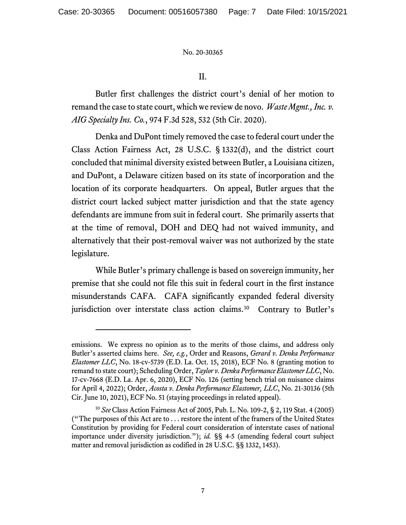II.

Butler first challenges the district court's denial of her motion to remand the case to state court, which we review de novo. *Waste Mgmt., Inc. v. AIG Specialty Ins. Co.*, 974 F.3d 528, 532 (5th Cir. 2020).

Denka and DuPont timely removed the case to federal court under the Class Action Fairness Act, 28 U.S.C. § 1332(d), and the district court concluded that minimal diversity existed between Butler, a Louisiana citizen, and DuPont, a Delaware citizen based on its state of incorporation and the location of its corporate headquarters. On appeal, Butler argues that the district court lacked subject matter jurisdiction and that the state agency defendants are immune from suit in federal court. She primarily asserts that at the time of removal, DOH and DEQ had not waived immunity, and alternatively that their post-removal waiver was not authorized by the state legislature.

While Butler's primary challenge is based on sovereign immunity, her premise that she could not file this suit in federal court in the first instance misunderstands CAFA. CAFA significantly expanded federal diversity jurisdiction over interstate class action claims.<sup>10</sup> Contrary to Butler's

emissions. We express no opinion as to the merits of those claims, and address only Butler's asserted claims here. *See, e.g.*, Order and Reasons, *Gerard v. Denka Performance Elastomer LLC*, No. 18-cv-5739 (E.D. La. Oct. 15, 2018), ECF No. 8 (granting motion to remand to state court); Scheduling Order, *Taylor v. Denka Performance Elastomer LLC*, No. 17-cv-7668 (E.D. La. Apr. 6, 2020), ECF No. 126 (setting bench trial on nuisance claims for April 4, 2022); Order, *Acosta v. Denka Performance Elastomer, LLC*, No. 21-30136 (5th Cir. June 10, 2021), ECF No. 51 (staying proceedings in related appeal).

<span id="page-6-0"></span><sup>10</sup> *See* Class Action Fairness Act of 2005, Pub. L. No. 109-2, § 2, 119 Stat. 4 (2005) ("The purposes of this Act are to . . . restore the intent of the framers of the United States Constitution by providing for Federal court consideration of interstate cases of national importance under diversity jurisdiction."); *id.* §§ 4-5 (amending federal court subject matter and removal jurisdiction as codified in 28 U.S.C. §§ 1332, 1453).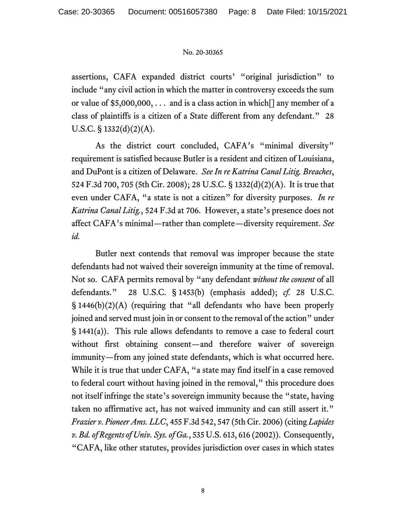assertions, CAFA expanded district courts' "original jurisdiction" to include "any civil action in which the matter in controversy exceeds the sum or value of  $$5,000,000,...$  and is a class action in which  $\lceil \cdot \rceil$  any member of a class of plaintiffs is a citizen of a State different from any defendant." 28 U.S.C. § 1332(d)(2)(A).

As the district court concluded, CAFA's "minimal diversity" requirement is satisfied because Butler is a resident and citizen of Louisiana, and DuPont is a citizen of Delaware. *See In re Katrina Canal Litig. Breaches*, 524 F.3d 700, 705 (5th Cir. 2008); 28 U.S.C. § 1332(d)(2)(A). It is true that even under CAFA, "a state is not a citizen" for diversity purposes. *In re Katrina Canal Litig.*, 524 F.3d at 706. However, a state's presence does not affect CAFA's minimal—rather than complete—diversity requirement. *See id.*

Butler next contends that removal was improper because the state defendants had not waived their sovereign immunity at the time of removal. Not so. CAFA permits removal by "any defendant *without the consent* of all defendants." 28 U.S.C. § 1453(b) (emphasis added); *cf.* 28 U.S.C. § 1446(b)(2)(A) (requiring that "all defendants who have been properly joined and served must join in or consent to the removal of the action" under § 1441(a)). This rule allows defendants to remove a case to federal court without first obtaining consent—and therefore waiver of sovereign immunity—from any joined state defendants, which is what occurred here. While it is true that under CAFA, "a state may find itself in a case removed to federal court without having joined in the removal," this procedure does not itself infringe the state's sovereign immunity because the "state, having taken no affirmative act, has not waived immunity and can still assert it." *Frazier v. Pioneer Ams. LLC*, 455 F.3d 542, 547 (5th Cir. 2006) (citing *Lapides v. Bd. of Regents of Univ. Sys. of Ga.*, 535 U.S. 613, 616 (2002)). Consequently, "CAFA, like other statutes, provides jurisdiction over cases in which states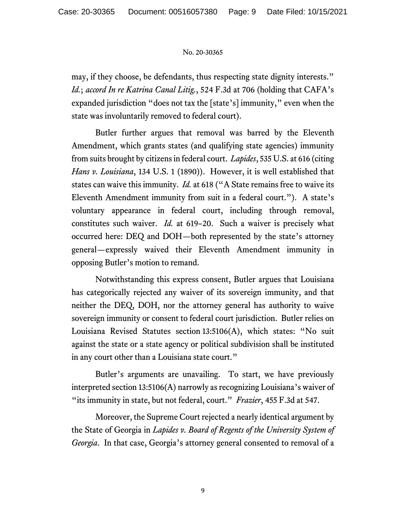may, if they choose, be defendants, thus respecting state dignity interests." *Id.*; *accord In re Katrina Canal Litig.*, 524 F.3d at 706 (holding that CAFA's expanded jurisdiction "does not tax the [state's] immunity," even when the state was involuntarily removed to federal court).

Butler further argues that removal was barred by the Eleventh Amendment, which grants states (and qualifying state agencies) immunity from suits brought by citizensin federal court. *Lapides*, 535 U.S. at 616 (citing *Hans v. Louisiana*, 134 U.S. 1 (1890)). However, it is well established that states can waive this immunity. *Id.* at 618 ("A State remains free to waive its Eleventh Amendment immunity from suit in a federal court."). A state's voluntary appearance in federal court, including through removal, constitutes such waiver. *Id.* at 619–20. Such a waiver is precisely what occurred here: DEQ and DOH—both represented by the state's attorney general—expressly waived their Eleventh Amendment immunity in opposing Butler's motion to remand.

Notwithstanding this express consent, Butler argues that Louisiana has categorically rejected any waiver of its sovereign immunity, and that neither the DEQ, DOH, nor the attorney general has authority to waive sovereign immunity or consent to federal court jurisdiction. Butler relies on Louisiana Revised Statutes section 13:5106(A), which states: "No suit against the state or a state agency or political subdivision shall be instituted in any court other than a Louisiana state court."

Butler's arguments are unavailing. To start, we have previously interpreted section 13:5106(A) narrowly as recognizing Louisiana's waiver of "its immunity in state, but not federal, court." *Frazier*, 455 F.3d at 547.

Moreover, the Supreme Court rejected a nearly identical argument by the State of Georgia in *Lapides v. Board of Regents of the University System of Georgia*. In that case, Georgia's attorney general consented to removal of a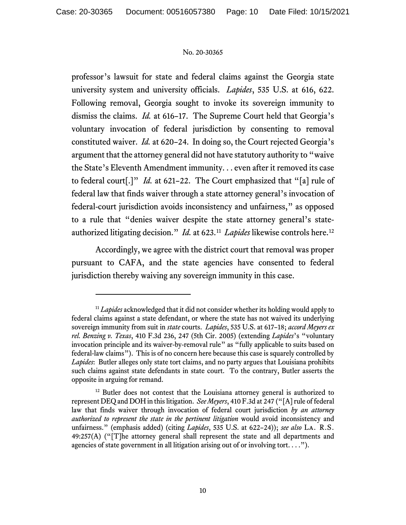professor's lawsuit for state and federal claims against the Georgia state university system and university officials. *Lapides*, 535 U.S. at 616, 622. Following removal, Georgia sought to invoke its sovereign immunity to dismiss the claims. *Id.* at 616–17. The Supreme Court held that Georgia's voluntary invocation of federal jurisdiction by consenting to removal constituted waiver. *Id.* at 620–24. In doing so, the Court rejected Georgia's argument that the attorney general did not have statutory authority to "waive the State's Eleventh Amendment immunity. . . even after it removed its case to federal court[.]" *Id.* at 621–22. The Court emphasized that "[a] rule of federal law that finds waiver through a state attorney general's invocation of federal-court jurisdiction avoids inconsistency and unfairness," as opposed to a rule that "denies waiver despite the state attorney general's stateauthorized litigating decision." *Id.* at 623.[11](#page-9-0) *Lapides* likewise controls here.[12](#page-9-1)

Accordingly, we agree with the district court that removal was proper pursuant to CAFA, and the state agencies have consented to federal jurisdiction thereby waiving any sovereign immunity in this case.

<span id="page-9-0"></span><sup>&</sup>lt;sup>11</sup> *Lapides* acknowledged that it did not consider whether its holding would apply to federal claims against a state defendant, or where the state has not waived its underlying sovereign immunity from suit in *state* courts. *Lapides*, 535 U.S. at 617–18; *accord Meyers ex rel. Benzing v. Texas*, 410 F.3d 236, 247 (5th Cir. 2005) (extending *Lapides*'s "voluntary invocation principle and its waiver-by-removal rule" as "fully applicable to suits based on federal-law claims"). This is of no concern here because this case is squarely controlled by *Lapides*: Butler alleges only state tort claims, and no party argues that Louisiana prohibits such claims against state defendants in state court. To the contrary, Butler asserts the opposite in arguing for remand.

<span id="page-9-1"></span><sup>&</sup>lt;sup>12</sup> Butler does not contest that the Louisiana attorney general is authorized to represent DEQ and DOH in this litigation. *See Meyers*, 410 F.3d at 247 ("[A] rule of federal law that finds waiver through invocation of federal court jurisdiction *by an attorney authorized to represent the state in the pertinent litigation* would avoid inconsistency and unfairness." (emphasis added) (citing *Lapides*, 535 U.S. at 622–24)); *see also* La. R.S. 49:257(A) ("[T]he attorney general shall represent the state and all departments and agencies of state government in all litigation arising out of or involving tort. . . .").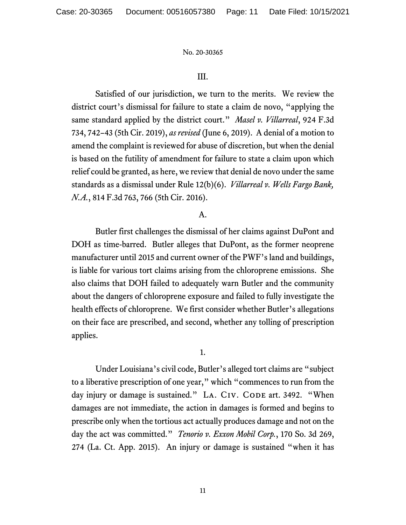# III.

Satisfied of our jurisdiction, we turn to the merits. We review the district court's dismissal for failure to state a claim de novo, "applying the same standard applied by the district court." *Masel v. Villarreal*, 924 F.3d 734, 742–43 (5th Cir. 2019), *as revised* (June 6, 2019). A denial of a motion to amend the complaint is reviewed for abuse of discretion, but when the denial is based on the futility of amendment for failure to state a claim upon which relief could be granted, as here, we review that denial de novo under the same standards as a dismissal under Rule 12(b)(6). *Villarreal v. Wells Fargo Bank, N.A.*, 814 F.3d 763, 766 (5th Cir. 2016).

# A.

Butler first challenges the dismissal of her claims against DuPont and DOH as time-barred. Butler alleges that DuPont, as the former neoprene manufacturer until 2015 and current owner of the PWF's land and buildings, is liable for various tort claims arising from the chloroprene emissions. She also claims that DOH failed to adequately warn Butler and the community about the dangers of chloroprene exposure and failed to fully investigate the health effects of chloroprene. We first consider whether Butler's allegations on their face are prescribed, and second, whether any tolling of prescription applies.

# 1.

Under Louisiana's civil code, Butler's alleged tort claims are "subject to a liberative prescription of one year," which "commences to run from the day injury or damage is sustained." LA. CIV. CODE art. 3492. "When damages are not immediate, the action in damages is formed and begins to prescribe only when the tortious act actually produces damage and not on the day the act was committed." *Tenorio v. Exxon Mobil Corp.*, 170 So. 3d 269, 274 (La. Ct. App. 2015). An injury or damage is sustained "when it has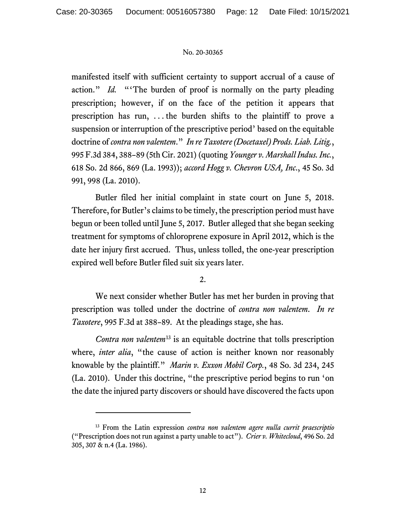manifested itself with sufficient certainty to support accrual of a cause of action." *Id.* "The burden of proof is normally on the party pleading prescription; however, if on the face of the petition it appears that prescription has run, . . . the burden shifts to the plaintiff to prove a suspension or interruption of the prescriptive period' based on the equitable doctrine of *contra non valentem*." *In re Taxotere (Docetaxel) Prods. Liab. Litig.*, 995 F.3d 384, 388–89 (5th Cir. 2021) (quoting *Younger v. Marshall Indus. Inc.*, 618 So. 2d 866, 869 (La. 1993)); *accord Hogg v. Chevron USA, Inc*., 45 So. 3d 991, 998 (La. 2010).

Butler filed her initial complaint in state court on June 5, 2018. Therefore, for Butler's claims to be timely, the prescription period must have begun or been tolled until June 5, 2017. Butler alleged that she began seeking treatment for symptoms of chloroprene exposure in April 2012, which is the date her injury first accrued. Thus, unless tolled, the one-year prescription expired well before Butler filed suit six years later.

# 2.

We next consider whether Butler has met her burden in proving that prescription was tolled under the doctrine of *contra non valentem*. *In re Taxotere*, 995 F.3d at 388–89. At the pleadings stage, she has.

*Contra non valentem*[13](#page-11-0) is an equitable doctrine that tolls prescription where, *inter alia*, "the cause of action is neither known nor reasonably knowable by the plaintiff." *Marin v. Exxon Mobil Corp.*, 48 So. 3d 234, 245 (La. 2010). Under this doctrine, "the prescriptive period begins to run 'on the date the injured party discovers or should have discovered the facts upon

<span id="page-11-0"></span><sup>13</sup> From the Latin expression *contra non valentem agere nulla currit praescriptio* ("Prescription does not run against a party unable to act"). *Crier v. Whitecloud*, 496 So. 2d 305, 307 & n.4 (La. 1986).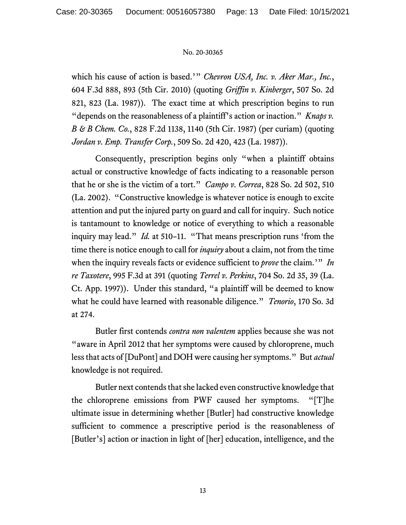which his cause of action is based.'" *Chevron USA, Inc. v. Aker Mar., Inc.*, 604 F.3d 888, 893 (5th Cir. 2010) (quoting *Griffin v. Kinberger*, 507 So. 2d 821, 823 (La. 1987)). The exact time at which prescription begins to run "depends on the reasonableness of a plaintiff's action or inaction." *Knaps v. B & B Chem. Co.*, 828 F.2d 1138, 1140 (5th Cir. 1987) (per curiam) (quoting *Jordan v. Emp. Transfer Corp.*, 509 So. 2d 420, 423 (La. 1987)).

Consequently, prescription begins only "when a plaintiff obtains actual or constructive knowledge of facts indicating to a reasonable person that he or she is the victim of a tort." *Campo v. Correa*, 828 So. 2d 502, 510 (La. 2002). "Constructive knowledge is whatever notice is enough to excite attention and put the injured party on guard and call for inquiry. Such notice is tantamount to knowledge or notice of everything to which a reasonable inquiry may lead." *Id.* at 510–11. "That means prescription runs 'from the time there is notice enough to call for *inquiry* about a claim, not from the time when the inquiry reveals facts or evidence sufficient to *prove* the claim.'" *In re Taxotere*, 995 F.3d at 391 (quoting *Terrel v. Perkins*, 704 So. 2d 35, 39 (La. Ct. App. 1997)). Under this standard, "a plaintiff will be deemed to know what he could have learned with reasonable diligence." *Tenorio*, 170 So. 3d at 274.

Butler first contends *contra non valentem* applies because she was not "aware in April 2012 that her symptoms were caused by chloroprene, much less that acts of [DuPont] and DOH were causing her symptoms." But *actual* knowledge is not required.

Butler next contends that she lacked even constructive knowledge that the chloroprene emissions from PWF caused her symptoms. "[T]he ultimate issue in determining whether [Butler] had constructive knowledge sufficient to commence a prescriptive period is the reasonableness of [Butler's] action or inaction in light of [her] education, intelligence, and the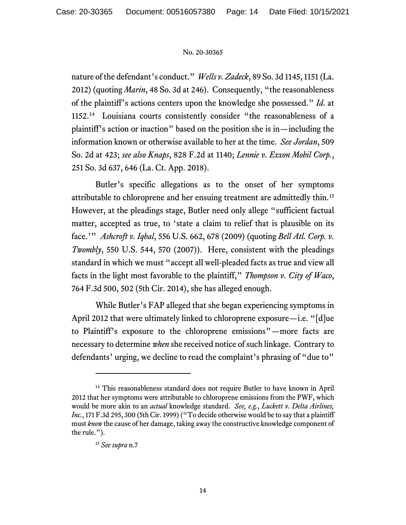nature of the defendant's conduct." *Wells v. Zadeck*, 89 So. 3d 1145, 1151 (La. 2012) (quoting *Marin*, 48 So. 3d at 246). Consequently, "the reasonableness of the plaintiff's actions centers upon the knowledge she possessed." *Id*. at 1152.[14](#page-13-0) Louisiana courts consistently consider "the reasonableness of a plaintiff's action or inaction" based on the position she is in—including the information known or otherwise available to her at the time. *See Jordan*, 509 So. 2d at 423; *see also Knaps*, 828 F.2d at 1140; *Lennie v. Exxon Mobil Corp.*, 251 So. 3d 637, 646 (La. Ct. App. 2018).

Butler's specific allegations as to the onset of her symptoms attributable to chloroprene and her ensuing treatment are admittedly thin.[15](#page-13-1) However, at the pleadings stage, Butler need only allege "sufficient factual matter, accepted as true, to 'state a claim to relief that is plausible on its face.'" *Ashcroft v. Iqbal*, 556 U.S. 662, 678 (2009) (quoting *Bell Atl. Corp. v. Twombly*, 550 U.S. 544, 570 (2007)). Here, consistent with the pleadings standard in which we must "accept all well-pleaded facts as true and view all facts in the light most favorable to the plaintiff," *Thompson v. City of Waco*, 764 F.3d 500, 502 (5th Cir. 2014), she has alleged enough.

While Butler's FAP alleged that she began experiencing symptoms in April 2012 that were ultimately linked to chloroprene exposure—i.e. "[d]ue to Plaintiff's exposure to the chloroprene emissions"—more facts are necessary to determine *when* she received notice of such linkage. Contrary to defendants' urging, we decline to read the complaint's phrasing of "due to"

<span id="page-13-1"></span><span id="page-13-0"></span><sup>&</sup>lt;sup>14</sup> This reasonableness standard does not require Butler to have known in April 2012 that her symptoms were attributable to chloroprene emissions from the PWF, which would be more akin to an *actual* knowledge standard. *See, e.g.*, *Luckett v. Delta Airlines, Inc.*, 171 F.3d 295, 300 (5th Cir. 1999) ("To decide otherwise would be to say that a plaintiff must *know* the cause of her damage, taking away the constructive knowledge component of the rule.").

<sup>15</sup> *See supra* n.7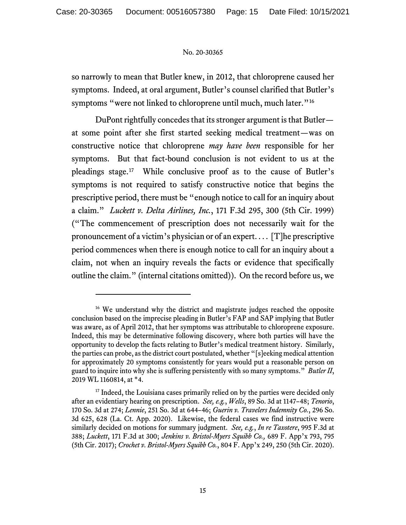so narrowly to mean that Butler knew, in 2012, that chloroprene caused her symptoms. Indeed, at oral argument, Butler's counsel clarified that Butler's symptoms "were not linked to chloroprene until much, much later."<sup>[16](#page-14-0)</sup>

DuPont rightfully concedes that its stronger argument is that Butler at some point after she first started seeking medical treatment—was on constructive notice that chloroprene *may have been* responsible for her symptoms. But that fact-bound conclusion is not evident to us at the pleadings stage.[17](#page-14-1) While conclusive proof as to the cause of Butler's symptoms is not required to satisfy constructive notice that begins the prescriptive period, there must be "enough notice to call for an inquiry about a claim." *Luckett v. Delta Airlines, Inc.*, 171 F.3d 295, 300 (5th Cir. 1999) ("The commencement of prescription does not necessarily wait for the pronouncement of a victim's physician or of an expert. . . . [T]he prescriptive period commences when there is enough notice to call for an inquiry about a claim, not when an inquiry reveals the facts or evidence that specifically outline the claim." (internal citations omitted)). On the record before us, we

<span id="page-14-0"></span><sup>&</sup>lt;sup>16</sup> We understand why the district and magistrate judges reached the opposite conclusion based on the imprecise pleading in Butler's FAP and SAP implying that Butler was aware, as of April 2012, that her symptoms was attributable to chloroprene exposure. Indeed, this may be determinative following discovery, where both parties will have the opportunity to develop the facts relating to Butler's medical treatment history. Similarly, the parties can probe, as the district court postulated, whether "[s]eeking medical attention for approximately 20 symptoms consistently for years would put a reasonable person on guard to inquire into why she is suffering persistently with so many symptoms." *Butler II*, 2019 WL 1160814, at \*4.

<span id="page-14-1"></span><sup>&</sup>lt;sup>17</sup> Indeed, the Louisiana cases primarily relied on by the parties were decided only after an evidentiary hearing on prescription. *See, e.g.*, *Wells*, 89 So. 3d at 1147–48; *Tenorio*, 170 So. 3d at 274; *Lennie*, 251 So. 3d at 644–46; *Guerin v. Travelers Indemnity Co.*, 296 So. 3d 625, 628 (La. Ct. App. 2020). Likewise, the federal cases we find instructive were similarly decided on motions for summary judgment. *See, e.g.*, *In re Taxotere*, 995 F.3d at 388; *Luckett*, 171 F.3d at 300; *Jenkins v. Bristol-Myers Squibb Co.,* 689 F. App'x 793, 795 (5th Cir. 2017); *Crochet v. Bristol-Myers Squibb Co.*, 804 F. App'x 249, 250 (5th Cir. 2020).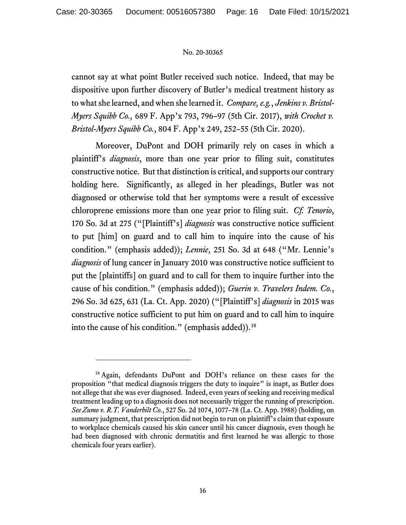cannot say at what point Butler received such notice. Indeed, that may be dispositive upon further discovery of Butler's medical treatment history as to what she learned, and when she learned it. *Compare, e.g.*, *Jenkins v. Bristol-Myers Squibb Co.,* 689 F. App'x 793, 796–97 (5th Cir. 2017), *with Crochet v. Bristol-Myers Squibb Co.*, 804 F. App'x 249, 252–55 (5th Cir. 2020).

Moreover, DuPont and DOH primarily rely on cases in which a plaintiff's *diagnosis*, more than one year prior to filing suit, constitutes constructive notice. But that distinction is critical, and supports our contrary holding here. Significantly, as alleged in her pleadings, Butler was not diagnosed or otherwise told that her symptoms were a result of excessive chloroprene emissions more than one year prior to filing suit. *Cf. Tenorio*, 170 So. 3d at 275 ("[Plaintiff's] *diagnosis* was constructive notice sufficient to put [him] on guard and to call him to inquire into the cause of his condition." (emphasis added)); *Lennie*, 251 So. 3d at 648 ("Mr. Lennie's *diagnosis* of lung cancer in January 2010 was constructive notice sufficient to put the [plaintiffs] on guard and to call for them to inquire further into the cause of his condition." (emphasis added)); *Guerin v. Travelers Indem. Co.*, 296 So. 3d 625, 631 (La. Ct. App. 2020) ("[Plaintiff's] *diagnosis* in 2015 was constructive notice sufficient to put him on guard and to call him to inquire into the cause of his condition." (emphasis added)). [18](#page-15-0)

<span id="page-15-0"></span><sup>&</sup>lt;sup>18</sup> Again, defendants DuPont and DOH's reliance on these cases for the proposition "that medical diagnosis triggers the duty to inquire" is inapt, as Butler does not allege that she was ever diagnosed. Indeed, even years of seeking and receiving medical treatment leading up to a diagnosis does not necessarily trigger the running of prescription. *See Zumo v. R.T. Vanderbilt Co.*, 527 So. 2d 1074, 1077–78 (La. Ct. App. 1988) (holding, on summary judgment, that prescription did not begin to run on plaintiff's claim that exposure to workplace chemicals caused his skin cancer until his cancer diagnosis, even though he had been diagnosed with chronic dermatitis and first learned he was allergic to those chemicals four years earlier).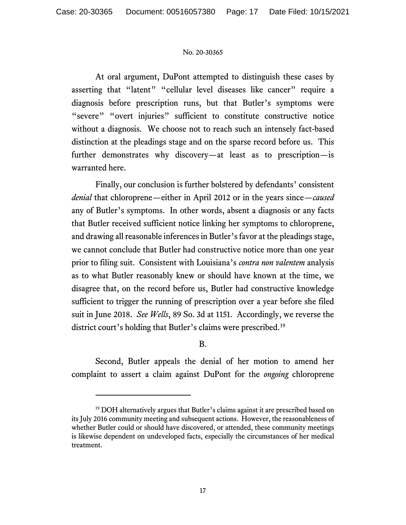At oral argument, DuPont attempted to distinguish these cases by asserting that "latent" "cellular level diseases like cancer" require a diagnosis before prescription runs, but that Butler's symptoms were "severe" "overt injuries" sufficient to constitute constructive notice without a diagnosis. We choose not to reach such an intensely fact-based distinction at the pleadings stage and on the sparse record before us. This further demonstrates why discovery—at least as to prescription—is warranted here.

Finally, our conclusion is further bolstered by defendants' consistent *denial* that chloroprene—either in April 2012 or in the years since—*caused* any of Butler's symptoms. In other words, absent a diagnosis or any facts that Butler received sufficient notice linking her symptoms to chloroprene, and drawing all reasonable inferences in Butler's favor at the pleadings stage, we cannot conclude that Butler had constructive notice more than one year prior to filing suit. Consistent with Louisiana's *contra non valentem* analysis as to what Butler reasonably knew or should have known at the time, we disagree that, on the record before us, Butler had constructive knowledge sufficient to trigger the running of prescription over a year before she filed suit in June 2018. *See Wells*, 89 So. 3d at 1151. Accordingly, we reverse the district court's holding that Butler's claims were prescribed.[19](#page-16-0)

# B.

Second, Butler appeals the denial of her motion to amend her complaint to assert a claim against DuPont for the *ongoing* chloroprene

<span id="page-16-0"></span><sup>&</sup>lt;sup>19</sup> DOH alternatively argues that Butler's claims against it are prescribed based on its July 2016 community meeting and subsequent actions. However, the reasonableness of whether Butler could or should have discovered, or attended, these community meetings is likewise dependent on undeveloped facts, especially the circumstances of her medical treatment.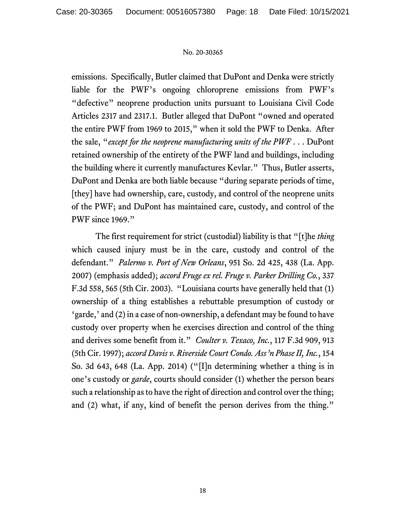emissions. Specifically, Butler claimed that DuPont and Denka were strictly liable for the PWF's ongoing chloroprene emissions from PWF's "defective" neoprene production units pursuant to Louisiana Civil Code Articles 2317 and 2317.1. Butler alleged that DuPont "owned and operated the entire PWF from 1969 to 2015," when it sold the PWF to Denka. After the sale, "*except for the neoprene manufacturing units of the PWF* . . . DuPont retained ownership of the entirety of the PWF land and buildings, including the building where it currently manufactures Kevlar." Thus, Butler asserts, DuPont and Denka are both liable because "during separate periods of time, [they] have had ownership, care, custody, and control of the neoprene units of the PWF; and DuPont has maintained care, custody, and control of the PWF since 1969."

The first requirement for strict (custodial) liability is that "[t]he *thing* which caused injury must be in the care, custody and control of the defendant." *Palermo v. Port of New Orleans*, 951 So. 2d 425, 438 (La. App. 2007) (emphasis added); *accord Fruge ex rel. Fruge v. Parker Drilling Co.*, 337 F.3d 558, 565 (5th Cir. 2003). "Louisiana courts have generally held that (1) ownership of a thing establishes a rebuttable presumption of custody or 'garde,' and (2) in a case of non-ownership, a defendant may be found to have custody over property when he exercises direction and control of the thing and derives some benefit from it." *Coulter v. Texaco, Inc.*, 117 F.3d 909, 913 (5th Cir. 1997); *accord Davis v. Riverside Court Condo. Ass'n Phase II, Inc.*, 154 So. 3d 643, 648 (La. App. 2014) ("[I]n determining whether a thing is in one's custody or *garde*, courts should consider (1) whether the person bears such a relationship as to have the right of direction and control over the thing; and (2) what, if any, kind of benefit the person derives from the thing."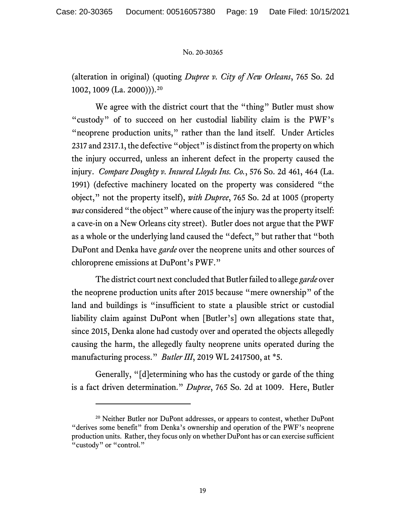(alteration in original) (quoting *Dupree v. City of New Orleans*, 765 So. 2d 1002, 1009 (La. 2000))).[20](#page-18-0)

We agree with the district court that the "thing" Butler must show "custody" of to succeed on her custodial liability claim is the PWF's "neoprene production units," rather than the land itself. Under Articles 2317 and 2317.1, the defective "object" is distinct from the property on which the injury occurred, unless an inherent defect in the property caused the injury. *Compare Doughty v. Insured Lloyds Ins. Co.*, 576 So. 2d 461, 464 (La. 1991) (defective machinery located on the property was considered "the object," not the property itself), *with Dupree*, 765 So. 2d at 1005 (property *was* considered "the object" where cause of the injury was the property itself: a cave-in on a New Orleans city street). Butler does not argue that the PWF as a whole or the underlying land caused the "defect," but rather that "both DuPont and Denka have *garde* over the neoprene units and other sources of chloroprene emissions at DuPont's PWF."

The district court next concluded that Butler failed to allege *garde* over the neoprene production units after 2015 because "mere ownership" of the land and buildings is "insufficient to state a plausible strict or custodial liability claim against DuPont when [Butler's] own allegations state that, since 2015, Denka alone had custody over and operated the objects allegedly causing the harm, the allegedly faulty neoprene units operated during the manufacturing process." *Butler III*, 2019 WL 2417500, at \*5.

Generally, "[d]etermining who has the custody or garde of the thing is a fact driven determination." *Dupree*, 765 So. 2d at 1009. Here, Butler

<span id="page-18-0"></span><sup>&</sup>lt;sup>20</sup> Neither Butler nor DuPont addresses, or appears to contest, whether DuPont "derives some benefit" from Denka's ownership and operation of the PWF's neoprene production units. Rather, they focus only on whether DuPont has or can exercise sufficient "custody" or "control."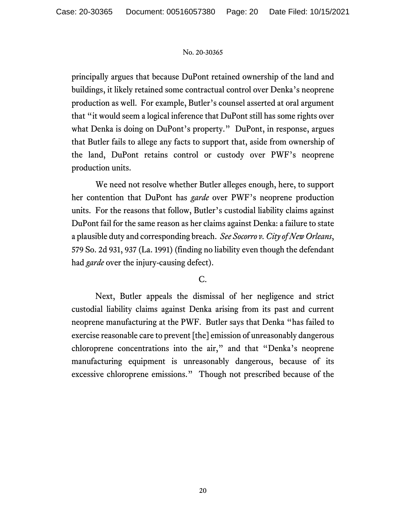principally argues that because DuPont retained ownership of the land and buildings, it likely retained some contractual control over Denka's neoprene production as well. For example, Butler's counsel asserted at oral argument that "it would seem a logical inference that DuPont still has some rights over what Denka is doing on DuPont's property."DuPont, in response, argues that Butler fails to allege any facts to support that, aside from ownership of the land, DuPont retains control or custody over PWF's neoprene production units.

We need not resolve whether Butler alleges enough, here, to support her contention that DuPont has *garde* over PWF's neoprene production units. For the reasons that follow, Butler's custodial liability claims against DuPont fail for the same reason as her claims against Denka: a failure to state a plausible duty and corresponding breach. *See Socorro v. City of New Orleans*, 579 So. 2d 931, 937 (La. 1991) (finding no liability even though the defendant had *garde* over the injury-causing defect).

# C.

Next, Butler appeals the dismissal of her negligence and strict custodial liability claims against Denka arising from its past and current neoprene manufacturing at the PWF. Butler says that Denka "has failed to exercise reasonable care to prevent [the] emission of unreasonably dangerous chloroprene concentrations into the air," and that "Denka's neoprene manufacturing equipment is unreasonably dangerous, because of its excessive chloroprene emissions." Though not prescribed because of the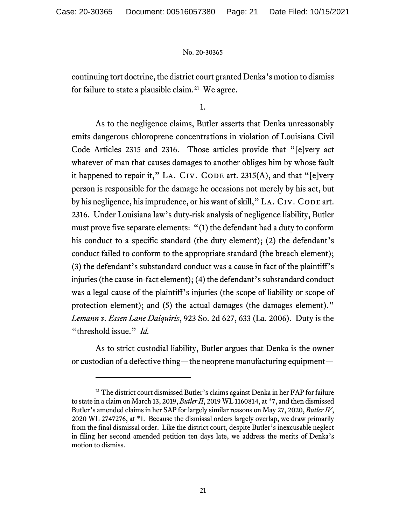continuing tort doctrine, the district court granted Denka's motion to dismiss for failure to state a plausible claim.<sup>21</sup> We agree.

1.

As to the negligence claims, Butler asserts that Denka unreasonably emits dangerous chloroprene concentrations in violation of Louisiana Civil Code Articles 2315 and 2316. Those articles provide that "[e]very act whatever of man that causes damages to another obliges him by whose fault it happened to repair it," LA. CIV. CODE art.  $2315(A)$ , and that "[e]very person is responsible for the damage he occasions not merely by his act, but by his negligence, his imprudence, or his want of skill," LA. CIV. CODE art. 2316. Under Louisiana law's duty-risk analysis of negligence liability, Butler must prove five separate elements: "(1) the defendant had a duty to conform his conduct to a specific standard (the duty element); (2) the defendant's conduct failed to conform to the appropriate standard (the breach element); (3) the defendant's substandard conduct was a cause in fact of the plaintiff's injuries (the cause-in-fact element); (4) the defendant's substandard conduct was a legal cause of the plaintiff's injuries (the scope of liability or scope of protection element); and (5) the actual damages (the damages element)." *Lemann v. Essen Lane Daiquiris*, 923 So. 2d 627, 633 (La. 2006). Duty is the "threshold issue." *Id.*

As to strict custodial liability, Butler argues that Denka is the owner or custodian of a defective thing—the neoprene manufacturing equipment—

<span id="page-20-0"></span><sup>21</sup> The district court dismissed Butler's claims against Denka in her FAP for failure to state in a claim on March 13, 2019, *ButlerII*, 2019 WL 1160814, at \*7, and then dismissed Butler's amended claims in her SAP for largely similar reasons on May 27, 2020, *Butler IV*, 2020 WL 2747276, at \*1. Because the dismissal orders largely overlap, we draw primarily from the final dismissal order. Like the district court, despite Butler's inexcusable neglect in filing her second amended petition ten days late, we address the merits of Denka's motion to dismiss.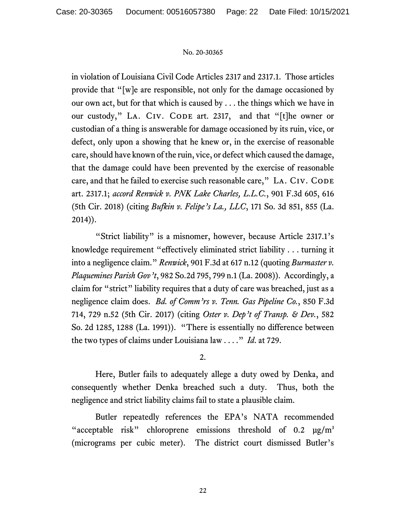in violation of Louisiana Civil Code Articles 2317 and 2317.1. Those articles provide that "[w]e are responsible, not only for the damage occasioned by our own act, but for that which is caused by . . . the things which we have in our custody," LA. CIV. CODE art. 2317, and that "[t]he owner or custodian of a thing is answerable for damage occasioned by its ruin, vice, or defect, only upon a showing that he knew or, in the exercise of reasonable care, should have known of the ruin, vice, or defect which caused the damage, that the damage could have been prevented by the exercise of reasonable care, and that he failed to exercise such reasonable care," LA. CIV. CODE art. 2317.1; *accord Renwick v. PNK Lake Charles, L.L.C.*, 901 F.3d 605, 616 (5th Cir. 2018) (citing *Bufkin v. Felipe's La., LLC*, 171 So. 3d 851, 855 (La. 2014)).

"Strict liability" is a misnomer, however, because Article 2317.1's knowledge requirement "effectively eliminated strict liability . . . turning it into a negligence claim." *Renwick*, 901 F.3d at 617 n.12 (quoting *Burmaster v. Plaquemines Parish Gov't*, 982 So.2d 795, 799 n.1 (La. 2008)). Accordingly, a claim for "strict" liability requires that a duty of care was breached, just as a negligence claim does. *Bd. of Comm'rs v. Tenn. Gas Pipeline Co.*, 850 F.3d 714, 729 n.52 (5th Cir. 2017) (citing *Oster v. Dep't of Transp. & Dev.*, 582 So. 2d 1285, 1288 (La. 1991)). "There is essentially no difference between the two types of claims under Louisiana law . . . ." *Id*. at 729.

# 2.

Here, Butler fails to adequately allege a duty owed by Denka, and consequently whether Denka breached such a duty. Thus, both the negligence and strict liability claims fail to state a plausible claim.

Butler repeatedly references the EPA's NATA recommended "acceptable risk" chloroprene emissions threshold of  $0.2 \text{ µg/m}^3$ (micrograms per cubic meter). The district court dismissed Butler's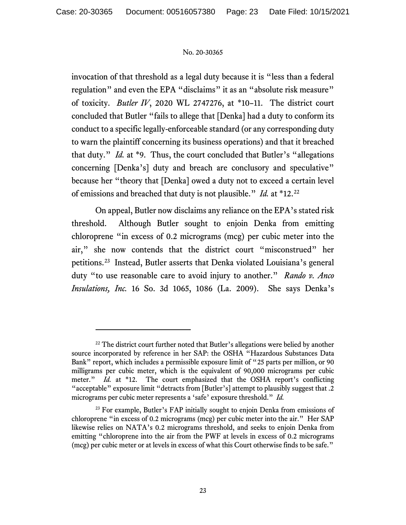invocation of that threshold as a legal duty because it is "less than a federal regulation" and even the EPA "disclaims" it as an "absolute risk measure" of toxicity. *Butler IV*, 2020 WL 2747276, at \*10–11. The district court concluded that Butler "fails to allege that [Denka] had a duty to conform its conduct to a specific legally-enforceable standard (or any corresponding duty to warn the plaintiff concerning its business operations) and that it breached that duty." *Id.* at \*9. Thus, the court concluded that Butler's "allegations concerning [Denka's] duty and breach are conclusory and speculative" because her "theory that [Denka] owed a duty not to exceed a certain level of emissions and breached that duty is not plausible." *Id.* at \*12.[22](#page-22-0)

On appeal, Butler now disclaims any reliance on the EPA's stated risk threshold. Although Butler sought to enjoin Denka from emitting chloroprene "in excess of 0.2 micrograms (mcg) per cubic meter into the air," she now contends that the district court "misconstrued" her petitions. [23](#page-22-1) Instead, Butler asserts that Denka violated Louisiana's general duty "to use reasonable care to avoid injury to another." *Rando v. Anco Insulations, Inc.* 16 So. 3d 1065, 1086 (La. 2009). She says Denka's

<span id="page-22-0"></span><sup>&</sup>lt;sup>22</sup> The district court further noted that Butler's allegations were belied by another source incorporated by reference in her SAP: the OSHA "Hazardous Substances Data Bank" report, which includes a permissible exposure limit of "25 parts per million, or 90 milligrams per cubic meter, which is the equivalent of 90,000 micrograms per cubic meter." *Id.* at \*12. The court emphasized that the OSHA report's conflicting "acceptable" exposure limit "detracts from [Butler's] attempt to plausibly suggest that .2 micrograms per cubic meter represents a 'safe' exposure threshold."*Id.*

<span id="page-22-1"></span><sup>&</sup>lt;sup>23</sup> For example, Butler's FAP initially sought to enjoin Denka from emissions of chloroprene "in excess of 0.2 micrograms (mcg) per cubic meter into the air." Her SAP likewise relies on NATA's 0.2 micrograms threshold, and seeks to enjoin Denka from emitting "chloroprene into the air from the PWF at levels in excess of 0.2 micrograms (mcg) per cubic meter or at levels in excess of what this Court otherwise finds to be safe."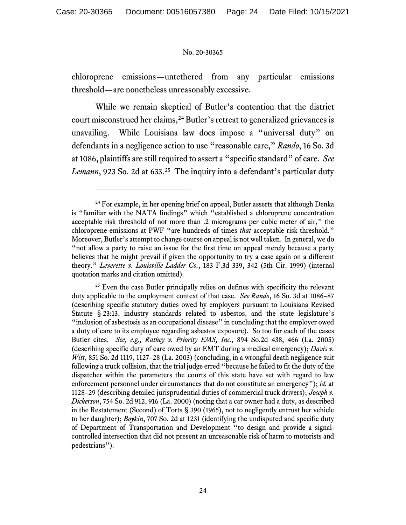chloroprene emissions—untethered from any particular emissions threshold—are nonetheless unreasonably excessive.

While we remain skeptical of Butler's contention that the district court misconstrued her claims, [24](#page-23-0) Butler's retreat to generalized grievances is unavailing. While Louisiana law does impose a "universal duty" on defendants in a negligence action to use "reasonable care," *Rando*, 16 So. 3d at 1086, plaintiffs are still required to assert a "specific standard" of care. *See Lemann*, 923 So. 2d at 633. [25](#page-23-1) The inquiry into a defendant's particular duty

<span id="page-23-0"></span><sup>&</sup>lt;sup>24</sup> For example, in her opening brief on appeal, Butler asserts that although Denka is "familiar with the NATA findings" which "established a chloroprene concentration acceptable risk threshold of not more than .2 micrograms per cubic meter of air," the chloroprene emissions at PWF "are hundreds of times *that* acceptable risk threshold." Moreover, Butler's attempt to change course on appeal is not well taken. In general, we do "not allow a party to raise an issue for the first time on appeal merely because a party believes that he might prevail if given the opportunity to try a case again on a different theory." *Leverette v. Louisville Ladder Co.*, 183 F.3d 339, 342 (5th Cir. 1999) (internal quotation marks and citation omitted).

<span id="page-23-1"></span> $25$  Even the case Butler principally relies on defines with specificity the relevant duty applicable to the employment context of that case. *See Rando*, 16 So. 3d at 1086–87 (describing specific statutory duties owed by employers pursuant to Louisiana Revised Statute § 23:13, industry standards related to asbestos, and the state legislature's "inclusion of asbestosis as an occupational disease" in concluding that the employer owed a duty of care to its employee regarding asbestos exposure). So too for each of the cases Butler cites. *See, e.g., Rathey v. Priority EMS, Inc.*, 894 So.2d 438, 466 (La. 2005) (describing specific duty of care owed by an EMT during a medical emergency); *Davis v. Witt*, 851 So. 2d 1119, 1127–28 (La. 2003) (concluding, in a wrongful death negligence suit following a truck collision, that the trial judge erred "because he failed to fit the duty of the dispatcher within the parameters the courts of this state have set with regard to law enforcement personnel under circumstances that do not constitute an emergency"); *id.* at 1128–29 (describing detailed jurisprudential duties of commercial truck drivers); *Joseph v. Dickerson*, 754 So. 2d 912, 916 (La. 2000) (noting that a car owner had a duty, as described in the Restatement (Second) of Torts § 390 (1965), not to negligently entrust her vehicle to her daughter); *Boykin*, 707 So. 2d at 1231 (identifying the undisputed and specific duty of Department of Transportation and Development "to design and provide a signalcontrolled intersection that did not present an unreasonable risk of harm to motorists and pedestrians").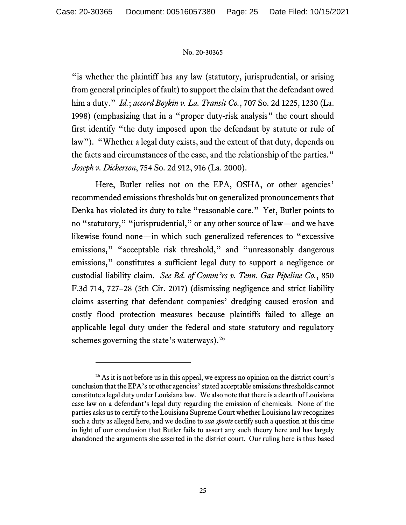"is whether the plaintiff has any law (statutory, jurisprudential, or arising from general principles of fault) to support the claim that the defendant owed him a duty." *Id.*; *accord Boykin v. La. Transit Co.*, 707 So. 2d 1225, 1230 (La. 1998) (emphasizing that in a "proper duty-risk analysis" the court should first identify "the duty imposed upon the defendant by statute or rule of law"). "Whether a legal duty exists, and the extent of that duty, depends on the facts and circumstances of the case, and the relationship of the parties." *Joseph v. Dickerson*, 754 So. 2d 912, 916 (La. 2000).

Here, Butler relies not on the EPA, OSHA, or other agencies' recommended emissions thresholds but on generalized pronouncements that Denka has violated its duty to take "reasonable care." Yet, Butler points to no "statutory," "jurisprudential," or any other source of law—and we have likewise found none—in which such generalized references to "excessive emissions," "acceptable risk threshold," and "unreasonably dangerous emissions," constitutes a sufficient legal duty to support a negligence or custodial liability claim. *See Bd. of Comm'rs v. Tenn. Gas Pipeline Co.*, 850 F.3d 714, 727–28 (5th Cir. 2017) (dismissing negligence and strict liability claims asserting that defendant companies' dredging caused erosion and costly flood protection measures because plaintiffs failed to allege an applicable legal duty under the federal and state statutory and regulatory schemes governing the state's waterways).<sup>[26](#page-24-0)</sup>

<span id="page-24-0"></span> $26$  As it is not before us in this appeal, we express no opinion on the district court's conclusion that the EPA's or other agencies' stated acceptable emissions thresholds cannot constitute a legal duty under Louisiana law.We also note that there is a dearth of Louisiana case law on a defendant's legal duty regarding the emission of chemicals. None of the parties asks us to certify to the Louisiana Supreme Court whether Louisiana law recognizes such a duty as alleged here, and we decline to *sua sponte* certify such a question at this time in light of our conclusion that Butler fails to assert any such theory here and has largely abandoned the arguments she asserted in the district court. Our ruling here is thus based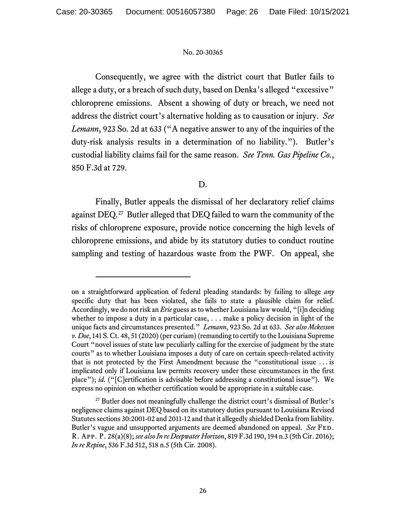Consequently, we agree with the district court that Butler fails to allege a duty, or a breach of such duty, based on Denka's alleged "excessive" chloroprene emissions. Absent a showing of duty or breach, we need not address the district court's alternative holding as to causation or injury. *See Lemann*, 923 So. 2d at 633 ("A negative answer to any of the inquiries of the duty-risk analysis results in a determination of no liability."). Butler's custodial liability claims fail for the same reason. *See Tenn. Gas Pipeline Co.*, 850 F.3d at 729.

# D.

Finally, Butler appeals the dismissal of her declaratory relief claims against DEQ.[27](#page-25-0) Butler alleged that DEQ failed to warn the community of the risks of chloroprene exposure, provide notice concerning the high levels of chloroprene emissions, and abide by its statutory duties to conduct routine sampling and testing of hazardous waste from the PWF. On appeal, she

on a straightforward application of federal pleading standards: by failing to allege *any*  specific duty that has been violated, she fails to state a plausible claim for relief. Accordingly, we do not risk an *Erie* guess as to whether Louisiana law would, "[i]n deciding whether to impose a duty in a particular case, . . . make a policy decision in light of the unique facts and circumstances presented." *Lemann*, 923 So. 2d at 633. *See also Mckesson v. Doe*, 141 S. Ct. 48, 51 (2020) (per curiam) (remanding to certify to the Louisiana Supreme Court "novel issues of state law peculiarly calling for the exercise of judgment by the state courts" as to whether Louisiana imposes a duty of care on certain speech-related activity that is not protected by the First Amendment because the "constitutional issue . . . is implicated only if Louisiana law permits recovery under these circumstances in the first place"); *id.* ("[C]ertification is advisable before addressing a constitutional issue"). We express no opinion on whether certification would be appropriate in a suitable case.

<span id="page-25-0"></span><sup>&</sup>lt;sup>27</sup> Butler does not meaningfully challenge the district court's dismissal of Butler's negligence claims against DEQ based on its statutory duties pursuant to Louisiana Revised Statutes sections 30:2001-02 and 2011-12 and that it allegedly shielded Denka from liability. Butler's vague and unsupported arguments are deemed abandoned on appeal. *See* Fed. R. App. P. 28(a)(8); *see also In re Deepwater Horizon*, 819 F.3d 190, 194 n.3 (5th Cir. 2016); *In re Repine*, 536 F.3d 512, 518 n.5 (5th Cir. 2008).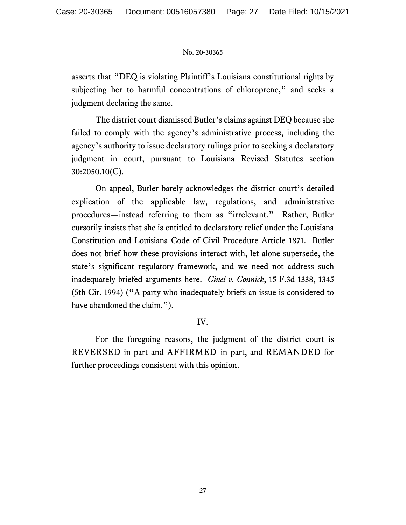asserts that "DEQ is violating Plaintiff's Louisiana constitutional rights by subjecting her to harmful concentrations of chloroprene," and seeks a judgment declaring the same.

The district court dismissed Butler's claims against DEQ because she failed to comply with the agency's administrative process, including the agency's authority to issue declaratory rulings prior to seeking a declaratory judgment in court, pursuant to Louisiana Revised Statutes section 30:2050.10(C).

On appeal, Butler barely acknowledges the district court's detailed explication of the applicable law, regulations, and administrative procedures—instead referring to them as "irrelevant." Rather, Butler cursorily insists that she is entitled to declaratory relief under the Louisiana Constitution and Louisiana Code of Civil Procedure Article 1871. Butler does not brief how these provisions interact with, let alone supersede, the state's significant regulatory framework, and we need not address such inadequately briefed arguments here. *Cinel v. Connick*, 15 F.3d 1338, 1345 (5th Cir. 1994) ("A party who inadequately briefs an issue is considered to have abandoned the claim.").

# IV.

For the foregoing reasons, the judgment of the district court is REVERSED in part and AFFIRMED in part, and REMANDED for further proceedings consistent with this opinion.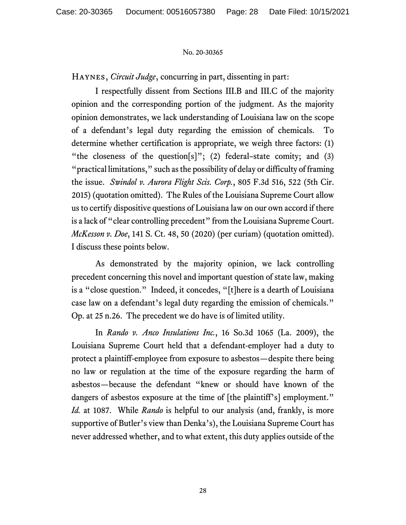Haynes, *Circuit Judge*, concurring in part, dissenting in part:

I respectfully dissent from Sections III.B and III.C of the majority opinion and the corresponding portion of the judgment. As the majority opinion demonstrates, we lack understanding of Louisiana law on the scope of a defendant's legal duty regarding the emission of chemicals. To determine whether certification is appropriate, we weigh three factors: (1) "the closeness of the question[s]"; (2) federal-state comity; and (3) "practical limitations," such as the possibility of delay or difficulty of framing the issue. *Swindol v. Aurora Flight Scis. Corp.*, 805 F.3d 516, 522 (5th Cir. 2015) (quotation omitted). The Rules of the Louisiana Supreme Court allow us to certify dispositive questions of Louisiana law on our own accord if there is a lack of "clear controlling precedent" from the Louisiana Supreme Court. *McKesson v. Doe*, 141 S. Ct. 48, 50 (2020) (per curiam) (quotation omitted). I discuss these points below.

As demonstrated by the majority opinion, we lack controlling precedent concerning this novel and important question of state law, making is a "close question." Indeed, it concedes, "[t]here is a dearth of Louisiana case law on a defendant's legal duty regarding the emission of chemicals." Op. at 25 n.26. The precedent we do have is of limited utility.

In *Rando v. Anco Insulations Inc.*, 16 So.3d 1065 (La. 2009), the Louisiana Supreme Court held that a defendant-employer had a duty to protect a plaintiff-employee from exposure to asbestos—despite there being no law or regulation at the time of the exposure regarding the harm of asbestos—because the defendant "knew or should have known of the dangers of asbestos exposure at the time of [the plaintiff's] employment." *Id.* at 1087. While *Rando* is helpful to our analysis (and, frankly, is more supportive of Butler's view than Denka's), the Louisiana Supreme Court has never addressed whether, and to what extent, this duty applies outside of the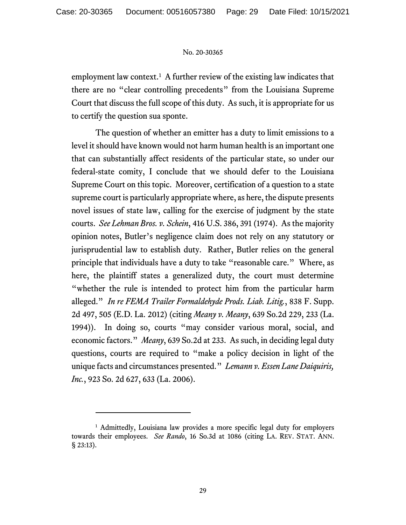employment law context.<sup>[1](#page-28-0)</sup> A further review of the existing law indicates that there are no "clear controlling precedents" from the Louisiana Supreme Court that discuss the full scope of this duty. As such, it is appropriate for us to certify the question sua sponte.

The question of whether an emitter has a duty to limit emissions to a level it should have known would not harm human health is an important one that can substantially affect residents of the particular state, so under our federal-state comity, I conclude that we should defer to the Louisiana Supreme Court on this topic. Moreover, certification of a question to a state supreme court is particularly appropriate where, as here, the dispute presents novel issues of state law, calling for the exercise of judgment by the state courts. *See Lehman Bros. v. Schein*, 416 U.S. 386, 391 (1974). As the majority opinion notes, Butler's negligence claim does not rely on any statutory or jurisprudential law to establish duty. Rather, Butler relies on the general principle that individuals have a duty to take "reasonable care." Where, as here, the plaintiff states a generalized duty, the court must determine "whether the rule is intended to protect him from the particular harm alleged." *In re FEMA Trailer Formaldehyde Prods. Liab. Litig.*, 838 F. Supp. 2d 497, 505 (E.D. La. 2012) (citing *Meany v. Meany*, 639 So.2d 229, 233 (La. 1994)). In doing so, courts "may consider various moral, social, and economic factors." *Meany*, 639 So.2d at 233. As such, in deciding legal duty questions, courts are required to "make a policy decision in light of the unique facts and circumstances presented." *Lemann v. Essen Lane Daiquiris, Inc.*, 923 So. 2d 627, 633 (La. 2006).

<span id="page-28-0"></span><sup>&</sup>lt;sup>1</sup> Admittedly, Louisiana law provides a more specific legal duty for employers towards their employees. *See Rando*, 16 So.3d at 1086 (citing LA. REV. STAT. ANN. § 23:13).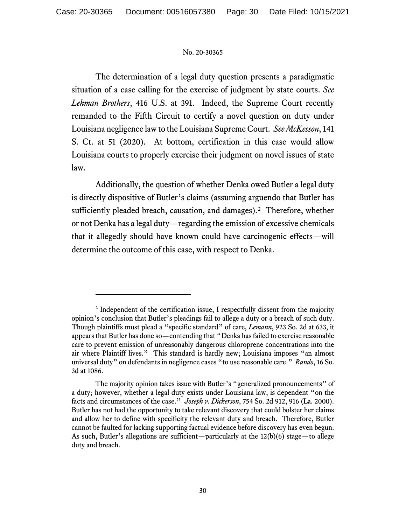The determination of a legal duty question presents a paradigmatic situation of a case calling for the exercise of judgment by state courts. *See Lehman Brothers*, 416 U.S. at 391. Indeed, the Supreme Court recently remanded to the Fifth Circuit to certify a novel question on duty under Louisiana negligence law to the Louisiana Supreme Court. *See McKesson*, 141 S. Ct. at 51 (2020). At bottom, certification in this case would allow Louisiana courts to properly exercise their judgment on novel issues of state law.

Additionally, the question of whether Denka owed Butler a legal duty is directly dispositive of Butler's claims (assuming arguendo that Butler has sufficiently pleaded breach, causation, and damages).<sup>[2](#page-29-0)</sup> Therefore, whether or not Denka has a legal duty—regarding the emission of excessive chemicals that it allegedly should have known could have carcinogenic effects—will determine the outcome of this case, with respect to Denka.

<span id="page-29-0"></span><sup>&</sup>lt;sup>2</sup> Independent of the certification issue, I respectfully dissent from the majority opinion's conclusion that Butler's pleadings fail to allege a duty or a breach of such duty. Though plaintiffs must plead a "specific standard" of care, *Lemann*, 923 So. 2d at 633, it appears that Butler has done so—contending that "Denka has failed to exercise reasonable care to prevent emission of unreasonably dangerous chloroprene concentrations into the air where Plaintiff lives." This standard is hardly new; Louisiana imposes "an almost universal duty" on defendants in negligence cases "to use reasonable care." *Rando*, 16 So. 3d at 1086.

The majority opinion takes issue with Butler's "generalized pronouncements" of a duty; however, whether a legal duty exists under Louisiana law, is dependent "on the facts and circumstances of the case." *Joseph v. Dickerson*, 754 So. 2d 912, 916 (La. 2000). Butler has not had the opportunity to take relevant discovery that could bolster her claims and allow her to define with specificity the relevant duty and breach. Therefore, Butler cannot be faulted for lacking supporting factual evidence before discovery has even begun. As such, Butler's allegations are sufficient—particularly at the  $12(b)(6)$  stage—to allege duty and breach.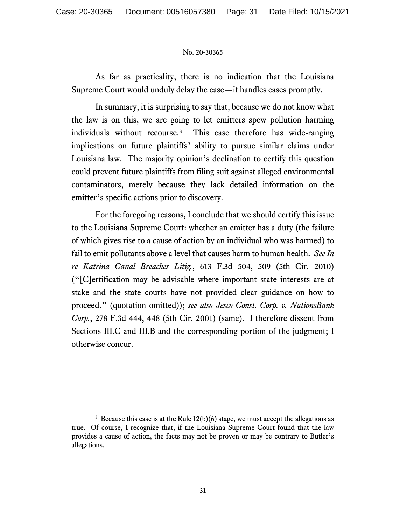As far as practicality, there is no indication that the Louisiana Supreme Court would unduly delay the case—it handles cases promptly.

In summary, it is surprising to say that, because we do not know what the law is on this, we are going to let emitters spew pollution harming individuals without recourse.[3](#page-30-0) This case therefore has wide-ranging implications on future plaintiffs' ability to pursue similar claims under Louisiana law. The majority opinion's declination to certify this question could prevent future plaintiffs from filing suit against alleged environmental contaminators, merely because they lack detailed information on the emitter's specific actions prior to discovery.

For the foregoing reasons, I conclude that we should certify this issue to the Louisiana Supreme Court: whether an emitter has a duty (the failure of which gives rise to a cause of action by an individual who was harmed) to fail to emit pollutants above a level that causes harm to human health. *See In re Katrina Canal Breaches Litig.*, 613 F.3d 504, 509 (5th Cir. 2010) ("[C]ertification may be advisable where important state interests are at stake and the state courts have not provided clear guidance on how to proceed." (quotation omitted)); *see also Jesco Const. Corp. v. NationsBank Corp.*, 278 F.3d 444, 448 (5th Cir. 2001) (same). I therefore dissent from Sections III.C and III.B and the corresponding portion of the judgment; I otherwise concur.

<span id="page-30-0"></span> $3$  Because this case is at the Rule 12(b)(6) stage, we must accept the allegations as true. Of course, I recognize that, if the Louisiana Supreme Court found that the law provides a cause of action, the facts may not be proven or may be contrary to Butler's allegations.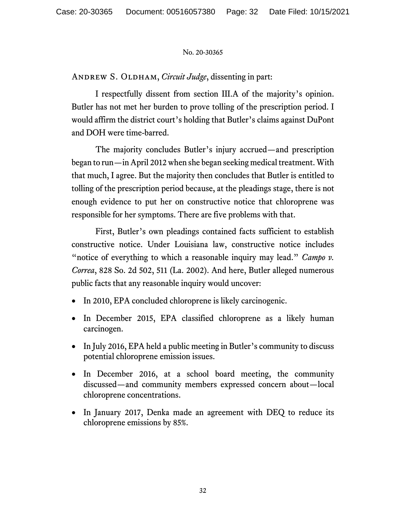ANDREW S. OLDHAM, *Circuit Judge*, dissenting in part:

I respectfully dissent from section III.A of the majority's opinion. Butler has not met her burden to prove tolling of the prescription period. I would affirm the district court's holding that Butler's claims against DuPont and DOH were time-barred.

The majority concludes Butler's injury accrued—and prescription began to run—in April 2012 when she began seeking medical treatment. With that much, I agree. But the majority then concludes that Butler is entitled to tolling of the prescription period because, at the pleadings stage, there is not enough evidence to put her on constructive notice that chloroprene was responsible for her symptoms. There are five problems with that.

First, Butler's own pleadings contained facts sufficient to establish constructive notice. Under Louisiana law, constructive notice includes "notice of everything to which a reasonable inquiry may lead." *Campo v. Correa*, 828 So. 2d 502, 511 (La. 2002). And here, Butler alleged numerous public facts that any reasonable inquiry would uncover:

- In 2010, EPA concluded chloroprene is likely carcinogenic.
- In December 2015, EPA classified chloroprene as a likely human carcinogen.
- In July 2016, EPA held a public meeting in Butler's community to discuss potential chloroprene emission issues.
- In December 2016, at a school board meeting, the community discussed—and community members expressed concern about—local chloroprene concentrations.
- In January 2017, Denka made an agreement with DEQ to reduce its chloroprene emissions by 85%.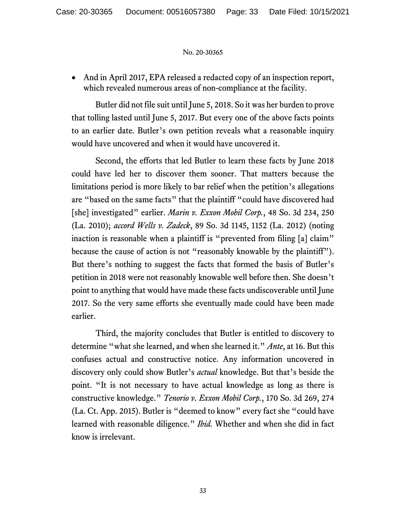• And in April 2017, EPA released a redacted copy of an inspection report, which revealed numerous areas of non-compliance at the facility.

Butler did not file suit until June 5, 2018. So it was her burden to prove that tolling lasted until June 5, 2017. But every one of the above facts points to an earlier date. Butler's own petition reveals what a reasonable inquiry would have uncovered and when it would have uncovered it.

Second, the efforts that led Butler to learn these facts by June 2018 could have led her to discover them sooner. That matters because the limitations period is more likely to bar relief when the petition's allegations are "based on the same facts" that the plaintiff "could have discovered had [she] investigated" earlier. *Marin v. Exxon Mobil Corp.*, 48 So. 3d 234, 250 (La. 2010); *accord Wells v. Zadeck*, 89 So. 3d 1145, 1152 (La. 2012) (noting inaction is reasonable when a plaintiff is "prevented from filing [a] claim" because the cause of action is not "reasonably knowable by the plaintiff"). But there's nothing to suggest the facts that formed the basis of Butler's petition in 2018 were not reasonably knowable well before then. She doesn't point to anything that would have made these facts undiscoverable until June 2017. So the very same efforts she eventually made could have been made earlier.

Third, the majority concludes that Butler is entitled to discovery to determine "what she learned, and when she learned it." *Ante*, at 16. But this confuses actual and constructive notice. Any information uncovered in discovery only could show Butler's *actual* knowledge. But that's beside the point. "It is not necessary to have actual knowledge as long as there is constructive knowledge." *Tenorio v. Exxon Mobil Corp.*, 170 So. 3d 269, 274 (La. Ct. App. 2015). Butler is "deemed to know" every fact she "could have learned with reasonable diligence." *Ibid.* Whether and when she did in fact know is irrelevant.